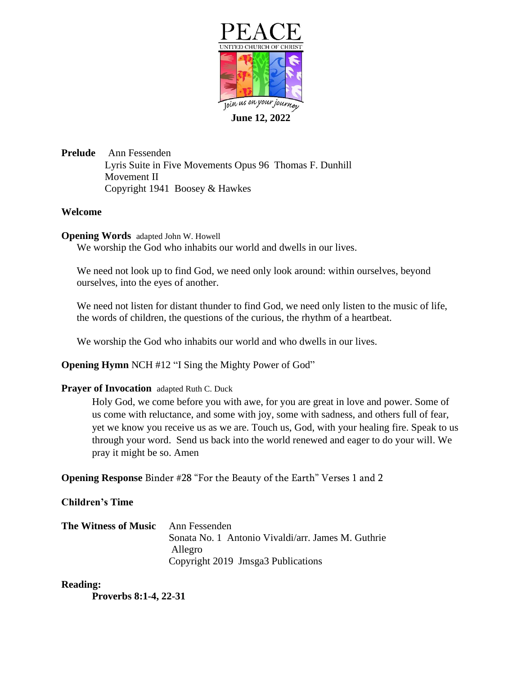

**June 12, 2022**

**Prelude** Ann Fessenden Lyris Suite in Five Movements Opus 96 Thomas F. Dunhill Movement II Copyright 1941 Boosey & Hawkes

## **Welcome**

**Opening Words** adapted John W. Howell

We worship the God who inhabits our world and dwells in our lives.

We need not look up to find God, we need only look around: within ourselves, beyond ourselves, into the eyes of another.

We need not listen for distant thunder to find God, we need only listen to the music of life, the words of children, the questions of the curious, the rhythm of a heartbeat.

We worship the God who inhabits our world and who dwells in our lives.

**Opening Hymn** NCH #12 "I Sing the Mighty Power of God"

## **Prayer of Invocation** adapted Ruth C. Duck

Holy God, we come before you with awe, for you are great in love and power. Some of us come with reluctance, and some with joy, some with sadness, and others full of fear, yet we know you receive us as we are. Touch us, God, with your healing fire. Speak to us through your word. Send us back into the world renewed and eager to do your will. We pray it might be so. Amen

**Opening Response** Binder #28 "For the Beauty of the Earth" Verses 1 and 2

## **Children's Time**

| <b>The Witness of Music</b> Ann Fessenden |                                                    |
|-------------------------------------------|----------------------------------------------------|
|                                           | Sonata No. 1 Antonio Vivaldi/arr. James M. Guthrie |
|                                           | Allegro                                            |
|                                           | Copyright 2019 Jmsga3 Publications                 |

## **Reading:**

**Proverbs 8:1-4, 22-31**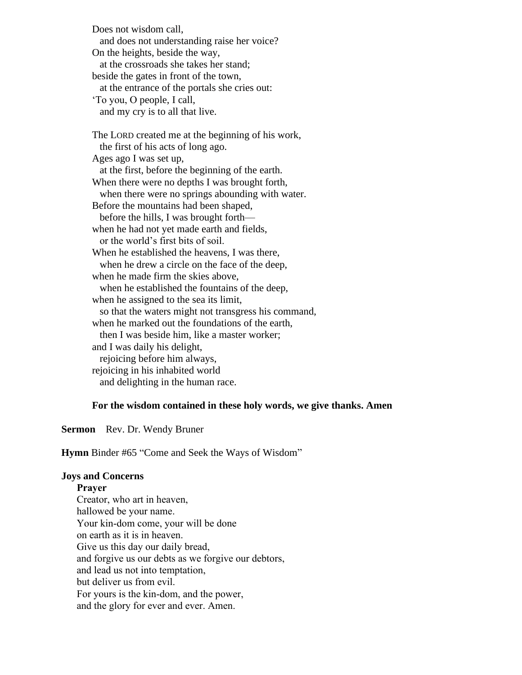Does not wisdom call, and does not understanding raise her voice? On the heights, beside the way, at the crossroads she takes her stand; beside the gates in front of the town, at the entrance of the portals she cries out: 'To you, O people, I call, and my cry is to all that live. The LORD created me at the beginning of his work, the first of his acts of long ago. Ages ago I was set up, at the first, before the beginning of the earth. When there were no depths I was brought forth, when there were no springs abounding with water. Before the mountains had been shaped, before the hills, I was brought forth when he had not yet made earth and fields, or the world's first bits of soil. When he established the heavens, I was there, when he drew a circle on the face of the deep, when he made firm the skies above, when he established the fountains of the deep, when he assigned to the sea its limit, so that the waters might not transgress his command, when he marked out the foundations of the earth, then I was beside him, like a master worker; and I was daily his delight, rejoicing before him always, rejoicing in his inhabited world and delighting in the human race.

#### **For the wisdom contained in these holy words, we give thanks. Amen**

**Sermon** Rev. Dr. Wendy Bruner

**Hymn** Binder #65 "Come and Seek the Ways of Wisdom"

#### **Joys and Concerns**

**Prayer**

Creator, who art in heaven, hallowed be your name. Your kin-dom come, your will be done on earth as it is in heaven. Give us this day our daily bread, and forgive us our debts as we forgive our debtors, and lead us not into temptation, but deliver us from evil. For yours is the kin-dom, and the power, and the glory for ever and ever. Amen.